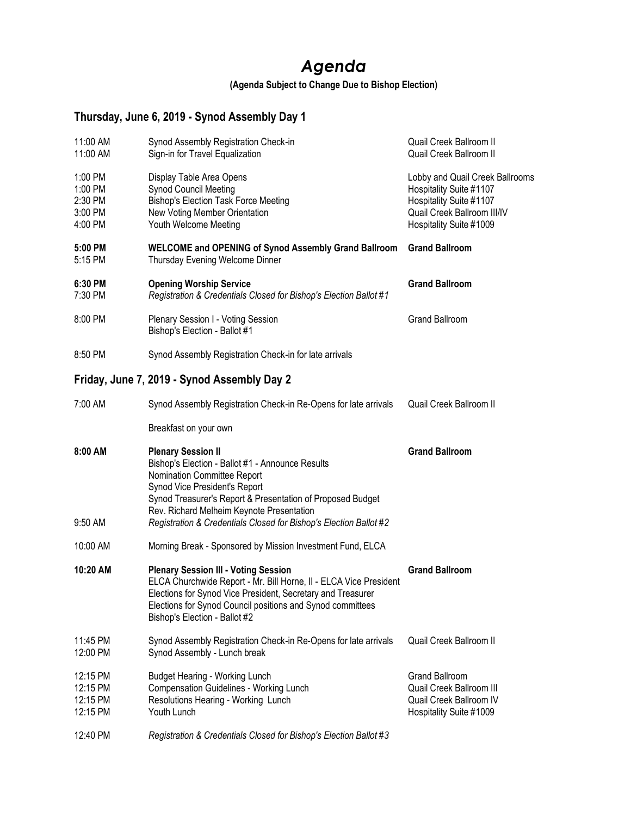## *Agenda*

**(Agenda Subject to Change Due to Bishop Election)**

## **Thursday, June 6, 2019 - Synod Assembly Day 1**

| 11:00 AM<br>11:00 AM                                | Synod Assembly Registration Check-in<br>Sign-in for Travel Equalization                                                                                                                                                                                                        | Quail Creek Ballroom II<br>Quail Creek Ballroom II                                                                                              |
|-----------------------------------------------------|--------------------------------------------------------------------------------------------------------------------------------------------------------------------------------------------------------------------------------------------------------------------------------|-------------------------------------------------------------------------------------------------------------------------------------------------|
| 1:00 PM<br>1:00 PM<br>2:30 PM<br>3:00 PM<br>4:00 PM | Display Table Area Opens<br><b>Synod Council Meeting</b><br><b>Bishop's Election Task Force Meeting</b><br>New Voting Member Orientation<br>Youth Welcome Meeting                                                                                                              | Lobby and Quail Creek Ballrooms<br>Hospitality Suite #1107<br>Hospitality Suite #1107<br>Quail Creek Ballroom III/IV<br>Hospitality Suite #1009 |
| 5:00 PM<br>5:15 PM                                  | WELCOME and OPENING of Synod Assembly Grand Ballroom<br>Thursday Evening Welcome Dinner                                                                                                                                                                                        | <b>Grand Ballroom</b>                                                                                                                           |
| 6:30 PM<br>7:30 PM                                  | <b>Opening Worship Service</b><br>Registration & Credentials Closed for Bishop's Election Ballot #1                                                                                                                                                                            | <b>Grand Ballroom</b>                                                                                                                           |
| 8:00 PM                                             | Plenary Session I - Voting Session<br>Bishop's Election - Ballot #1                                                                                                                                                                                                            | <b>Grand Ballroom</b>                                                                                                                           |
| 8:50 PM                                             | Synod Assembly Registration Check-in for late arrivals                                                                                                                                                                                                                         |                                                                                                                                                 |
|                                                     | Friday, June 7, 2019 - Synod Assembly Day 2                                                                                                                                                                                                                                    |                                                                                                                                                 |
| 7:00 AM                                             | Synod Assembly Registration Check-in Re-Opens for late arrivals                                                                                                                                                                                                                | Quail Creek Ballroom II                                                                                                                         |
|                                                     | Breakfast on your own                                                                                                                                                                                                                                                          |                                                                                                                                                 |
|                                                     |                                                                                                                                                                                                                                                                                |                                                                                                                                                 |
| 8:00 AM                                             | <b>Plenary Session II</b><br>Bishop's Election - Ballot #1 - Announce Results<br>Nomination Committee Report<br>Synod Vice President's Report<br>Synod Treasurer's Report & Presentation of Proposed Budget                                                                    | <b>Grand Ballroom</b>                                                                                                                           |
| 9:50 AM                                             | Rev. Richard Melheim Keynote Presentation<br>Registration & Credentials Closed for Bishop's Election Ballot #2                                                                                                                                                                 |                                                                                                                                                 |
| 10:00 AM                                            | Morning Break - Sponsored by Mission Investment Fund, ELCA                                                                                                                                                                                                                     |                                                                                                                                                 |
| 10:20 AM                                            | <b>Plenary Session III - Voting Session</b><br>ELCA Churchwide Report - Mr. Bill Horne, II - ELCA Vice President<br>Elections for Synod Vice President, Secretary and Treasurer<br>Elections for Synod Council positions and Synod committees<br>Bishop's Election - Ballot #2 | <b>Grand Ballroom</b>                                                                                                                           |
| 11:45 PM<br>12:00 PM                                | Synod Assembly Registration Check-in Re-Opens for late arrivals<br>Synod Assembly - Lunch break                                                                                                                                                                                | Quail Creek Ballroom II                                                                                                                         |
| 12:15 PM<br>12:15 PM<br>12:15 PM<br>12:15 PM        | <b>Budget Hearing - Working Lunch</b><br>Compensation Guidelines - Working Lunch<br>Resolutions Hearing - Working Lunch<br>Youth Lunch                                                                                                                                         | <b>Grand Ballroom</b><br>Quail Creek Ballroom III<br>Quail Creek Ballroom IV<br>Hospitality Suite #1009                                         |